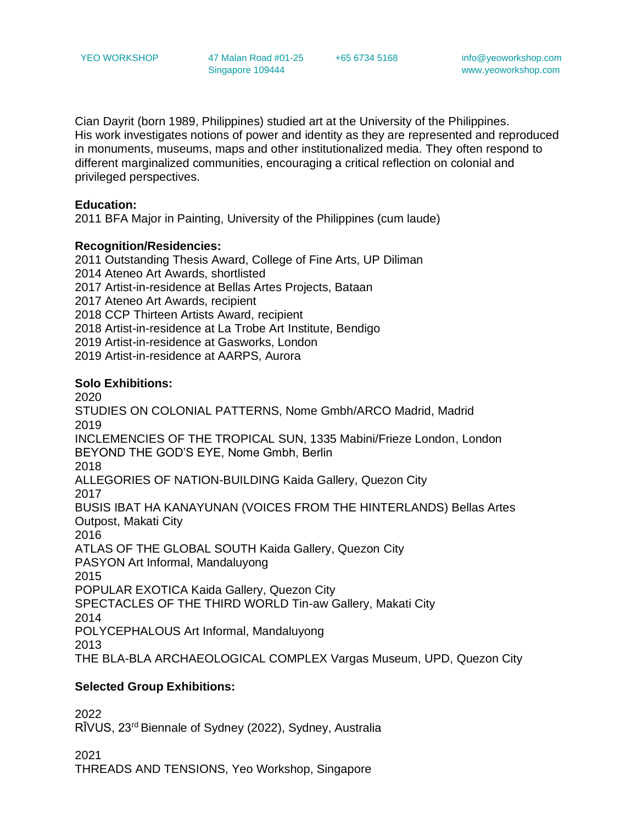+65 6734 5168 info@yeoworkshop.com www.yeoworkshop.com

Cian Dayrit (born 1989, Philippines) studied art at the University of the Philippines. His work investigates notions of power and identity as they are represented and reproduced in monuments, museums, maps and other institutionalized media. They often respond to different marginalized communities, encouraging a critical reflection on colonial and privileged perspectives.

## **Education:**

2011 BFA Major in Painting, University of the Philippines (cum laude)

## **Recognition/Residencies:**

2011 Outstanding Thesis Award, College of Fine Arts, UP Diliman 2014 Ateneo Art Awards, shortlisted 2017 Artist-in-residence at Bellas Artes Projects, Bataan 2017 Ateneo Art Awards, recipient 2018 CCP Thirteen Artists Award, recipient 2018 Artist-in-residence at La Trobe Art Institute, Bendigo 2019 Artist-in-residence at Gasworks, London 2019 Artist-in-residence at AARPS, Aurora

# **Solo Exhibitions:**

2020 STUDIES ON COLONIAL PATTERNS, Nome Gmbh/ARCO Madrid, Madrid 2019 INCLEMENCIES OF THE TROPICAL SUN, 1335 Mabini/Frieze London, London BEYOND THE GOD'S EYE, Nome Gmbh, Berlin 2018 ALLEGORIES OF NATION-BUILDING Kaida Gallery, Quezon City 2017 BUSIS IBAT HA KANAYUNAN (VOICES FROM THE HINTERLANDS) Bellas Artes Outpost, Makati City 2016 ATLAS OF THE GLOBAL SOUTH Kaida Gallery, Quezon City PASYON Art Informal, Mandaluyong 2015 POPULAR EXOTICA Kaida Gallery, Quezon City SPECTACLES OF THE THIRD WORLD Tin-aw Gallery, Makati City 2014 POLYCEPHALOUS Art Informal, Mandaluyong 2013 THE BLA-BLA ARCHAEOLOGICAL COMPLEX Vargas Museum, UPD, Quezon City

## **Selected Group Exhibitions:**

2022 RĪVUS, 23rd Biennale of Sydney (2022), Sydney, Australia

2021 THREADS AND TENSIONS, Yeo Workshop, Singapore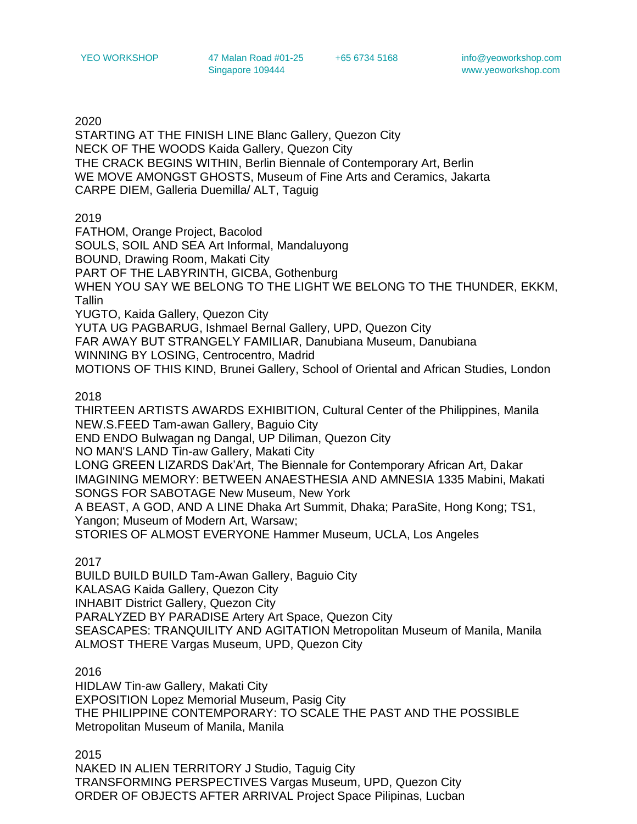YEO WORKSHOP 47 Malan Road #01-25 Singapore 109444

+65 6734 5168 info@yeoworkshop.com www.yeoworkshop.com

2020

STARTING AT THE FINISH LINE Blanc Gallery, Quezon City NECK OF THE WOODS Kaida Gallery, Quezon City THE CRACK BEGINS WITHIN, Berlin Biennale of Contemporary Art, Berlin WE MOVE AMONGST GHOSTS, Museum of Fine Arts and Ceramics, Jakarta CARPE DIEM, Galleria Duemilla/ ALT, Taguig

2019

FATHOM, Orange Project, Bacolod SOULS, SOIL AND SEA Art Informal, Mandaluyong BOUND, Drawing Room, Makati City PART OF THE LABYRINTH, GICBA, Gothenburg WHEN YOU SAY WE BELONG TO THE LIGHT WE BELONG TO THE THUNDER, EKKM, Tallin YUGTO, Kaida Gallery, Quezon City YUTA UG PAGBARUG, Ishmael Bernal Gallery, UPD, Quezon City FAR AWAY BUT STRANGELY FAMILIAR, Danubiana Museum, Danubiana WINNING BY LOSING, Centrocentro, Madrid MOTIONS OF THIS KIND, Brunei Gallery, School of Oriental and African Studies, London

2018

THIRTEEN ARTISTS AWARDS EXHIBITION, Cultural Center of the Philippines, Manila NEW.S.FEED Tam-awan Gallery, Baguio City END ENDO Bulwagan ng Dangal, UP Diliman, Quezon City NO MAN'S LAND Tin-aw Gallery, Makati City LONG GREEN LIZARDS Dak'Art, The Biennale for Contemporary African Art, Dakar IMAGINING MEMORY: BETWEEN ANAESTHESIA AND AMNESIA 1335 Mabini, Makati SONGS FOR SABOTAGE New Museum, New York A BEAST, A GOD, AND A LINE Dhaka Art Summit, Dhaka; ParaSite, Hong Kong; TS1, Yangon; Museum of Modern Art, Warsaw; STORIES OF ALMOST EVERYONE Hammer Museum, UCLA, Los Angeles

2017

BUILD BUILD BUILD Tam-Awan Gallery, Baguio City KALASAG Kaida Gallery, Quezon City INHABIT District Gallery, Quezon City PARALYZED BY PARADISE Artery Art Space, Quezon City SEASCAPES: TRANQUILITY AND AGITATION Metropolitan Museum of Manila, Manila ALMOST THERE Vargas Museum, UPD, Quezon City

2016

HIDLAW Tin-aw Gallery, Makati City EXPOSITION Lopez Memorial Museum, Pasig City THE PHILIPPINE CONTEMPORARY: TO SCALE THE PAST AND THE POSSIBLE Metropolitan Museum of Manila, Manila

2015 NAKED IN ALIEN TERRITORY J Studio, Taguig City TRANSFORMING PERSPECTIVES Vargas Museum, UPD, Quezon City ORDER OF OBJECTS AFTER ARRIVAL Project Space Pilipinas, Lucban